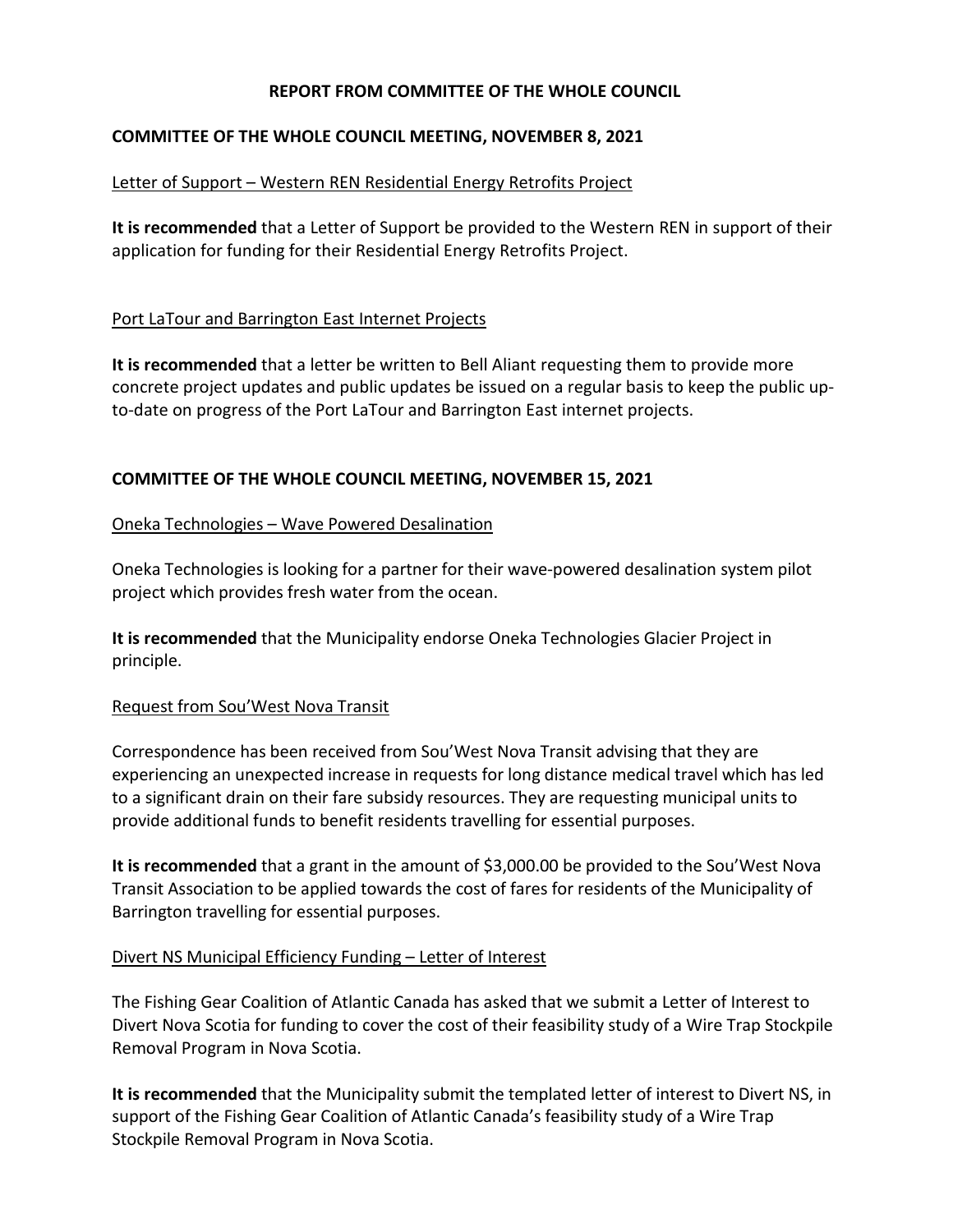## **REPORT FROM COMMITTEE OF THE WHOLE COUNCIL**

## **COMMITTEE OF THE WHOLE COUNCIL MEETING, NOVEMBER 8, 2021**

### Letter of Support – Western REN Residential Energy Retrofits Project

**It is recommended** that a Letter of Support be provided to the Western REN in support of their application for funding for their Residential Energy Retrofits Project.

## Port LaTour and Barrington East Internet Projects

**It is recommended** that a letter be written to Bell Aliant requesting them to provide more concrete project updates and public updates be issued on a regular basis to keep the public upto-date on progress of the Port LaTour and Barrington East internet projects.

## **COMMITTEE OF THE WHOLE COUNCIL MEETING, NOVEMBER 15, 2021**

#### Oneka Technologies – Wave Powered Desalination

Oneka Technologies is looking for a partner for their wave-powered desalination system pilot project which provides fresh water from the ocean.

**It is recommended** that the Municipality endorse Oneka Technologies Glacier Project in principle.

#### Request from Sou'West Nova Transit

Correspondence has been received from Sou'West Nova Transit advising that they are experiencing an unexpected increase in requests for long distance medical travel which has led to a significant drain on their fare subsidy resources. They are requesting municipal units to provide additional funds to benefit residents travelling for essential purposes.

**It is recommended** that a grant in the amount of \$3,000.00 be provided to the Sou'West Nova Transit Association to be applied towards the cost of fares for residents of the Municipality of Barrington travelling for essential purposes.

#### Divert NS Municipal Efficiency Funding – Letter of Interest

The Fishing Gear Coalition of Atlantic Canada has asked that we submit a Letter of Interest to Divert Nova Scotia for funding to cover the cost of their feasibility study of a Wire Trap Stockpile Removal Program in Nova Scotia.

**It is recommended** that the Municipality submit the templated letter of interest to Divert NS, in support of the Fishing Gear Coalition of Atlantic Canada's feasibility study of a Wire Trap Stockpile Removal Program in Nova Scotia.